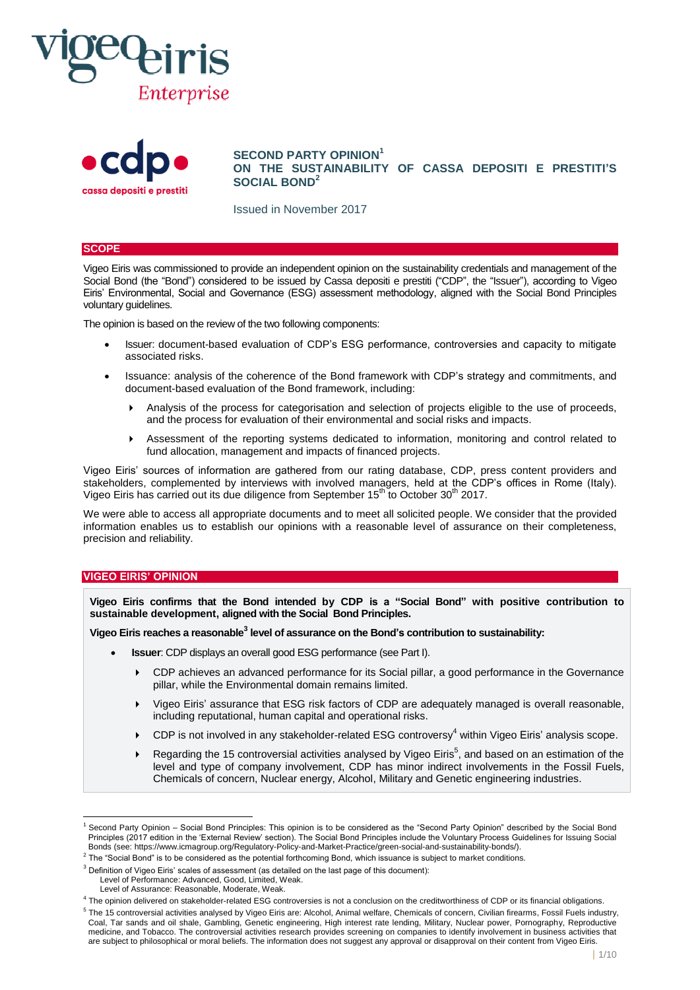



**SECOND PARTY OPINION<sup>1</sup> ON THE SUSTAINABILITY OF CASSA DEPOSITI E PRESTITI'S SOCIAL BOND<sup>2</sup>**

Issued in November 2017

### **SCOPE**

Vigeo Eiris was commissioned to provide an independent opinion on the sustainability credentials and management of the Social Bond (the "Bond") considered to be issued by Cassa depositi e prestiti ("CDP", the "Issuer"), according to Vigeo Eiris' Environmental, Social and Governance (ESG) assessment methodology, aligned with the Social Bond Principles voluntary guidelines.

The opinion is based on the review of the two following components:

- Issuer: document-based evaluation of CDP's ESG performance, controversies and capacity to mitigate associated risks.
- Issuance: analysis of the coherence of the Bond framework with CDP's strategy and commitments, and document-based evaluation of the Bond framework, including:
	- Analysis of the process for categorisation and selection of projects eligible to the use of proceeds, and the process for evaluation of their environmental and social risks and impacts.
	- Assessment of the reporting systems dedicated to information, monitoring and control related to fund allocation, management and impacts of financed projects.

Vigeo Eiris' sources of information are gathered from our rating database, CDP, press content providers and stakeholders, complemented by interviews with involved managers, held at the CDP's offices in Rome (Italy). Vigeo Eiris has carried out its due diligence from September 15<sup>th</sup> to October 30<sup>th</sup> 2017.

We were able to access all appropriate documents and to meet all solicited people. We consider that the provided information enables us to establish our opinions with a reasonable level of assurance on their completeness, precision and reliability.

## **VIGEO EIRIS' OPINION**

l

**Vigeo Eiris confirms that the Bond intended by CDP is a "Social Bond" with positive contribution to sustainable development, aligned with the Social Bond Principles.**

**Vigeo Eiris reaches a reasonable<sup>3</sup> level of assurance on the Bond's contribution to sustainability:**

- **Issuer**: CDP displays an overall good ESG performance (see Part I).
	- CDP achieves an advanced performance for its Social pillar, a good performance in the Governance pillar, while the Environmental domain remains limited.
	- Vigeo Eiris' assurance that ESG risk factors of CDP are adequately managed is overall reasonable, including reputational, human capital and operational risks.
	- $\triangleright$  CDP is not involved in any stakeholder-related ESG controversy<sup>4</sup> within Vigeo Eiris' analysis scope.
	- Regarding the 15 controversial activities analysed by Vigeo Eiris<sup>5</sup>, and based on an estimation of the level and type of company involvement, CDP has minor indirect involvements in the Fossil Fuels, Chemicals of concern, Nuclear energy, Alcohol, Military and Genetic engineering industries.

<sup>&</sup>lt;sup>1</sup> Second Party Opinion – Social Bond Principles: This opinion is to be considered as the "Second Party Opinion" described by the Social Bond Principles (2017 edition in the 'External Review' section). The Social Bond Principles include the Voluntary Process Guidelines for Issuing Social Bonds (see[: https://www.icmagroup.org/Regulatory-Policy-and-Market-Practice/green-social-and-sustainability-bonds/\).](https://www.icmagroup.org/Regulatory-Policy-and-Market-Practice/green-social-and-sustainability-bonds/)

 $^2$  The "Social Bond" is to be considered as the potential forthcoming Bond, which issuance is subject to market conditions.

<sup>&</sup>lt;sup>3</sup> Definition of Vigeo Eiris' scales of assessment (as detailed on the last page of this document):

Level of Performance: Advanced, Good, Limited, Weak.

Level of Assurance: Reasonable, Moderate, Weak.

<sup>&</sup>lt;sup>4</sup> The opinion delivered on stakeholder-related ESG controversies is not a conclusion on the creditworthiness of CDP or its financial obligations.

<sup>&</sup>lt;sup>5</sup> The 15 controversial activities analysed by Vigeo Eiris are: Alcohol, Animal welfare, Chemicals of concern, Civilian firearms, Fossil Fuels industry, Coal, Tar sands and oil shale, Gambling, Genetic engineering, High interest rate lending, Military, Nuclear power, Pornography, Reproductive medicine, and Tobacco. The controversial activities research provides screening on companies to identify involvement in business activities that are subject to philosophical or moral beliefs. The information does not suggest any approval or disapproval on their content from Vigeo Eiris.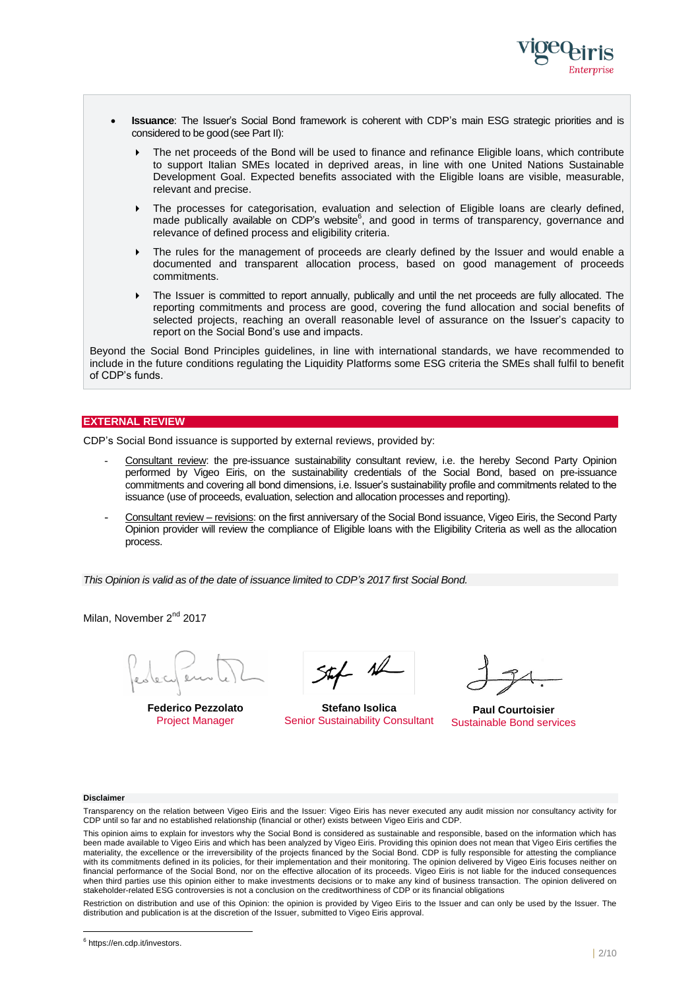

- **Issuance**: The Issuer's Social Bond framework is coherent with CDP's main ESG strategic priorities and is considered to be good(see Part II):
	- ▶ The net proceeds of the Bond will be used to finance and refinance Eligible loans, which contribute to support Italian SMEs located in deprived areas, in line with one United Nations Sustainable Development Goal. Expected benefits associated with the Eligible loans are visible, measurable, relevant and precise.
	- The processes for categorisation, evaluation and selection of Eligible loans are clearly defined, made publically available on CDP's website<sup>6</sup>, and good in terms of transparency, governance and relevance of defined process and eligibility criteria.
	- The rules for the management of proceeds are clearly defined by the Issuer and would enable a documented and transparent allocation process, based on good management of proceeds commitments.
	- The Issuer is committed to report annually, publically and until the net proceeds are fully allocated. The reporting commitments and process are good, covering the fund allocation and social benefits of selected projects, reaching an overall reasonable level of assurance on the Issuer's capacity to report on the Social Bond's use and impacts.

Beyond the Social Bond Principles guidelines, in line with international standards, we have recommended to include in the future conditions regulating the Liquidity Platforms some ESG criteria the SMEs shall fulfil to benefit of CDP's funds.

## **EXTERNAL REVIEW**

CDP's Social Bond issuance is supported by external reviews, provided by:

- Consultant review: the pre-issuance sustainability consultant review, i.e. the hereby Second Party Opinion performed by Vigeo Eiris, on the sustainability credentials of the Social Bond, based on pre-issuance commitments and covering all bond dimensions, i.e. Issuer's sustainability profile and commitments related to the issuance (use of proceeds, evaluation, selection and allocation processes and reporting).
- Consultant review revisions: on the first anniversary of the Social Bond issuance, Vigeo Eiris, the Second Party Opinion provider will review the compliance of Eligible loans with the Eligibility Criteria as well as the allocation process.

*This Opinion is valid as of the date of issuance limited to CDP's 2017 first Social Bond.*

Milan, November 2<sup>nd</sup> 2017

**Federico Pezzolato** Project Manager

 $544$  al

**Stefano Isolica** Senior Sustainability Consultant

**Paul Courtoisier** Sustainable Bond services

#### **Disclaimer**

l

Transparency on the relation between Vigeo Eiris and the Issuer: Vigeo Eiris has never executed any audit mission nor consultancy activity for CDP until so far and no established relationship (financial or other) exists between Vigeo Eiris and CDP.

This opinion aims to explain for investors why the Social Bond is considered as sustainable and responsible, based on the information which has been made available to Vigeo Eiris and which has been analyzed by Vigeo Eiris. Providing this opinion does not mean that Vigeo Eiris certifies the materiality, the excellence or the irreversibility of the projects financed by the Social Bond. CDP is fully responsible for attesting the compliance with its commitments defined in its policies, for their implementation and their monitoring. The opinion delivered by Vigeo Eiris focuses neither on financial performance of the Social Bond, nor on the effective allocation of its proceeds. Vigeo Eiris is not liable for the induced consequences when third parties use this opinion either to make investments decisions or to make any kind of business transaction. The opinion delivered on stakeholder-related ESG controversies is not a conclusion on the creditworthiness of CDP or its financial obligations

Restriction on distribution and use of this Opinion: the opinion is provided by Vigeo Eiris to the Issuer and can only be used by the Issuer. The distribution and publication is at the discretion of the Issuer, submitted to Vigeo Eiris approval.

<sup>&</sup>lt;sup>6</sup> https://en.cdp.it/investors.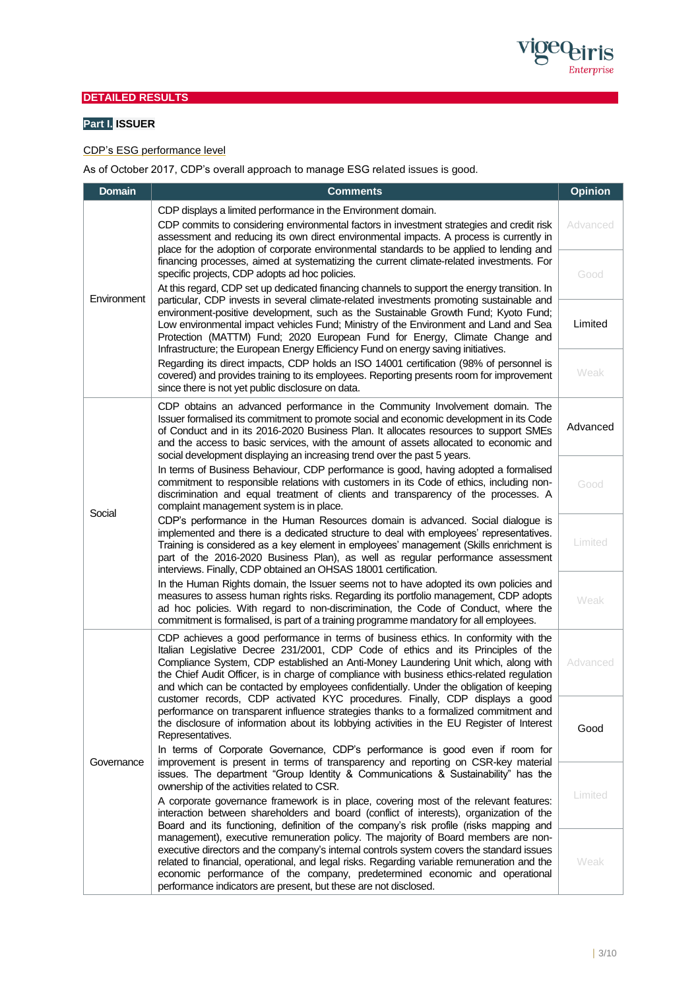

# **DETAILED RESULTS**

# **Part I. ISSUER**

## CDP's ESG performance level

As of October 2017, CDP's overall approach to manage ESG related issues is good.

| <b>Domain</b>                                                                                                                                                                                                                                                                                                                                                                                                              | <b>Comments</b>                                                                                                                                                                                                                                                                                                                                                                                                                                                                                                                                                                                                                                                                                                                                                                                                                                                                                                                                                                                                                              |                                                                                                                                                                                                                                                                                                                                                                                                                                       |
|----------------------------------------------------------------------------------------------------------------------------------------------------------------------------------------------------------------------------------------------------------------------------------------------------------------------------------------------------------------------------------------------------------------------------|----------------------------------------------------------------------------------------------------------------------------------------------------------------------------------------------------------------------------------------------------------------------------------------------------------------------------------------------------------------------------------------------------------------------------------------------------------------------------------------------------------------------------------------------------------------------------------------------------------------------------------------------------------------------------------------------------------------------------------------------------------------------------------------------------------------------------------------------------------------------------------------------------------------------------------------------------------------------------------------------------------------------------------------------|---------------------------------------------------------------------------------------------------------------------------------------------------------------------------------------------------------------------------------------------------------------------------------------------------------------------------------------------------------------------------------------------------------------------------------------|
|                                                                                                                                                                                                                                                                                                                                                                                                                            | CDP displays a limited performance in the Environment domain.<br>CDP commits to considering environmental factors in investment strategies and credit risk<br>assessment and reducing its own direct environmental impacts. A process is currently in<br>place for the adoption of corporate environmental standards to be applied to lending and<br>financing processes, aimed at systematizing the current climate-related investments. For<br>specific projects, CDP adopts ad hoc policies.<br>At this regard, CDP set up dedicated financing channels to support the energy transition. In<br>particular, CDP invests in several climate-related investments promoting sustainable and<br>environment-positive development, such as the Sustainable Growth Fund; Kyoto Fund;<br>Low environmental impact vehicles Fund; Ministry of the Environment and Land and Sea<br>Protection (MATTM) Fund; 2020 European Fund for Energy, Climate Change and<br>Infrastructure; the European Energy Efficiency Fund on energy saving initiatives. |                                                                                                                                                                                                                                                                                                                                                                                                                                       |
| Environment                                                                                                                                                                                                                                                                                                                                                                                                                |                                                                                                                                                                                                                                                                                                                                                                                                                                                                                                                                                                                                                                                                                                                                                                                                                                                                                                                                                                                                                                              |                                                                                                                                                                                                                                                                                                                                                                                                                                       |
|                                                                                                                                                                                                                                                                                                                                                                                                                            |                                                                                                                                                                                                                                                                                                                                                                                                                                                                                                                                                                                                                                                                                                                                                                                                                                                                                                                                                                                                                                              |                                                                                                                                                                                                                                                                                                                                                                                                                                       |
|                                                                                                                                                                                                                                                                                                                                                                                                                            | Social                                                                                                                                                                                                                                                                                                                                                                                                                                                                                                                                                                                                                                                                                                                                                                                                                                                                                                                                                                                                                                       | CDP obtains an advanced performance in the Community Involvement domain. The<br>Issuer formalised its commitment to promote social and economic development in its Code<br>of Conduct and in its 2016-2020 Business Plan. It allocates resources to support SMEs<br>and the access to basic services, with the amount of assets allocated to economic and<br>social development displaying an increasing trend over the past 5 years. |
| In terms of Business Behaviour, CDP performance is good, having adopted a formalised<br>commitment to responsible relations with customers in its Code of ethics, including non-<br>discrimination and equal treatment of clients and transparency of the processes. A<br>complaint management system is in place.                                                                                                         |                                                                                                                                                                                                                                                                                                                                                                                                                                                                                                                                                                                                                                                                                                                                                                                                                                                                                                                                                                                                                                              | Good                                                                                                                                                                                                                                                                                                                                                                                                                                  |
| CDP's performance in the Human Resources domain is advanced. Social dialogue is<br>implemented and there is a dedicated structure to deal with employees' representatives.<br>Training is considered as a key element in employees' management (Skills enrichment is<br>part of the 2016-2020 Business Plan), as well as regular performance assessment<br>interviews. Finally, CDP obtained an OHSAS 18001 certification. |                                                                                                                                                                                                                                                                                                                                                                                                                                                                                                                                                                                                                                                                                                                                                                                                                                                                                                                                                                                                                                              | Limited                                                                                                                                                                                                                                                                                                                                                                                                                               |
| In the Human Rights domain, the Issuer seems not to have adopted its own policies and<br>measures to assess human rights risks. Regarding its portfolio management, CDP adopts<br>ad hoc policies. With regard to non-discrimination, the Code of Conduct, where the<br>commitment is formalised, is part of a training programme mandatory for all employees.                                                             |                                                                                                                                                                                                                                                                                                                                                                                                                                                                                                                                                                                                                                                                                                                                                                                                                                                                                                                                                                                                                                              | Weak                                                                                                                                                                                                                                                                                                                                                                                                                                  |
| Governance                                                                                                                                                                                                                                                                                                                                                                                                                 | CDP achieves a good performance in terms of business ethics. In conformity with the<br>Italian Legislative Decree 231/2001, CDP Code of ethics and its Principles of the<br>Compliance System, CDP established an Anti-Money Laundering Unit which, along with<br>the Chief Audit Officer, is in charge of compliance with business ethics-related regulation<br>and which can be contacted by employees confidentially. Under the obligation of keeping                                                                                                                                                                                                                                                                                                                                                                                                                                                                                                                                                                                     | Advanced                                                                                                                                                                                                                                                                                                                                                                                                                              |
|                                                                                                                                                                                                                                                                                                                                                                                                                            | customer records, CDP activated KYC procedures. Finally, CDP displays a good<br>performance on transparent influence strategies thanks to a formalized commitment and<br>the disclosure of information about its lobbying activities in the EU Register of Interest<br>Representatives.                                                                                                                                                                                                                                                                                                                                                                                                                                                                                                                                                                                                                                                                                                                                                      | Good                                                                                                                                                                                                                                                                                                                                                                                                                                  |
|                                                                                                                                                                                                                                                                                                                                                                                                                            | In terms of Corporate Governance, CDP's performance is good even if room for<br>improvement is present in terms of transparency and reporting on CSR-key material<br>issues. The department "Group Identity & Communications & Sustainability" has the<br>ownership of the activities related to CSR.                                                                                                                                                                                                                                                                                                                                                                                                                                                                                                                                                                                                                                                                                                                                        | Limited                                                                                                                                                                                                                                                                                                                                                                                                                               |
|                                                                                                                                                                                                                                                                                                                                                                                                                            | A corporate governance framework is in place, covering most of the relevant features:<br>interaction between shareholders and board (conflict of interests), organization of the<br>Board and its functioning, definition of the company's risk profile (risks mapping and                                                                                                                                                                                                                                                                                                                                                                                                                                                                                                                                                                                                                                                                                                                                                                   |                                                                                                                                                                                                                                                                                                                                                                                                                                       |
|                                                                                                                                                                                                                                                                                                                                                                                                                            | management), executive remuneration policy. The majority of Board members are non-<br>executive directors and the company's internal controls system covers the standard issues<br>related to financial, operational, and legal risks. Regarding variable remuneration and the<br>economic performance of the company, predetermined economic and operational<br>performance indicators are present, but these are not disclosed.                                                                                                                                                                                                                                                                                                                                                                                                                                                                                                                                                                                                            | Weak                                                                                                                                                                                                                                                                                                                                                                                                                                  |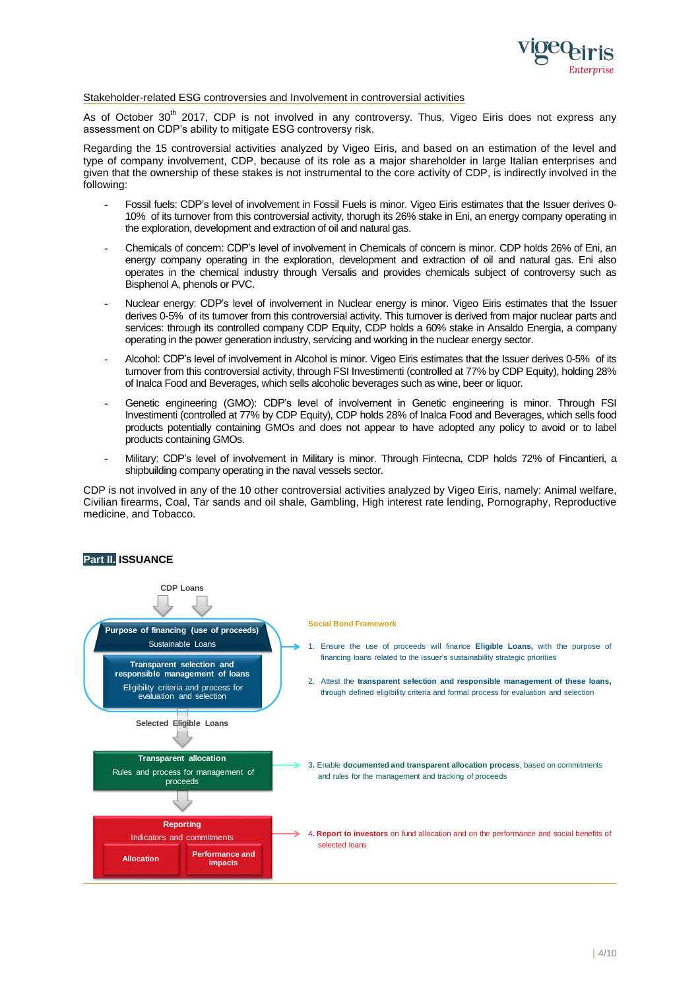

## Stakeholder-related ESG controversies and Involvement in controversial activities

As of October 30<sup>th</sup> 2017, CDP is not involved in any controversy. Thus, Vigeo Eiris does not express any assessment on CDP's ability to mitigate ESG controversy risk.

Regarding the 15 controversial activities analyzed by Vigeo Eiris, and based on an estimation of the level and type of company involvement, CDP, because of its role as a major shareholder in large Italian enterprises and given that the ownership of these stakes is not instrumental to the core activity of CDP, is indirectly involved in the following:

- Fossil fuels: CDP's level of involvement in Fossil Fuels is minor. Vigeo Eiris estimates that the Issuer derives 0- 10% of its turnover from this controversial activity, thorugh its 26% stake in Eni, an energy company operating in the exploration, development and extraction of oil and natural gas.
- Chemicals of concern: CDP's level of involvement in Chemicals of concern is minor. CDP holds 26% of Eni, an energy company operating in the exploration, development and extraction of oil and natural gas. Eni also operates in the chemical industry through Versalis and provides chemicals subject of controversy such as Bisphenol A, phenols or PVC.
- Nuclear energy: CDP's level of involvement in Nuclear energy is minor. Vigeo Eiris estimates that the Issuer derives 0-5% of its turnover from this controversial activity. This turnover is derived from major nuclear parts and services: through its controlled company CDP Equity, CDP holds a 60% stake in Ansaldo Energia, a company operating in the power generation industry, servicing and working in the nuclear energy sector.
- Alcohol: CDP's level of involvement in Alcohol is minor. Vigeo Eiris estimates that the Issuer derives 0-5% of its turnover from this controversial activity, through FSI Investimenti (controlled at 77% by CDP Equity), holding 28% of Inalca Food and Beverages, which sells alcoholic beverages such as wine, beer or liquor.
- Genetic engineering (GMO): CDP's level of involvement in Genetic engineering is minor. Through FSI Investimenti (controlled at 77% by CDP Equity), CDP holds 28% of Inalca Food and Beverages, which sells food products potentially containing GMOs and does not appear to have adopted any policy to avoid or to label products containing GMOs.
- Military: CDP's level of involvement in Military is minor. Through Fintecna, CDP holds 72% of Fincantieri, a shipbuilding company operating in the naval vessels sector.

CDP is not involved in any of the 10 other controversial activities analyzed by Vigeo Eiris, namely: Animal welfare, Civilian firearms, Coal, Tar sands and oil shale, Gambling, High interest rate lending, Pornography, Reproductive medicine, and Tobacco.

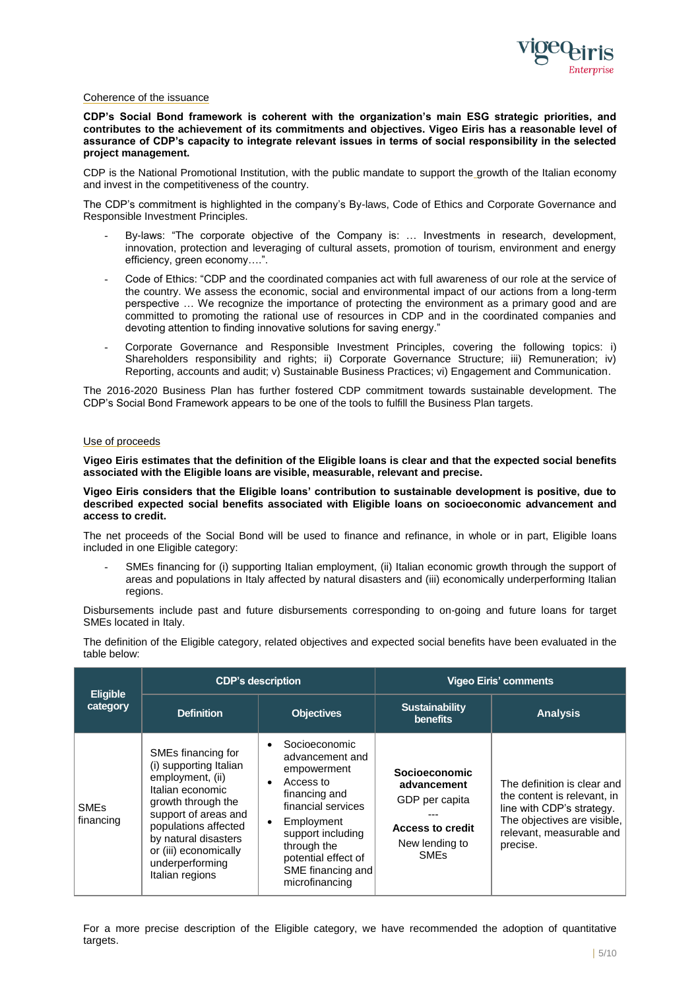

## Coherence of the issuance

**CDP's Social Bond framework is coherent with the organization's main ESG strategic priorities, and contributes to the achievement of its commitments and objectives. Vigeo Eiris has a reasonable level of assurance of CDP's capacity to integrate relevant issues in terms of social responsibility in the selected project management.**

CDP is the National Promotional Institution, with the public mandate to support the growth of the Italian economy and invest in the competitiveness of the country.

The CDP's commitment is highlighted in the company's By-laws, Code of Ethics and Corporate Governance and Responsible Investment Principles.

- By-laws: "The corporate objective of the Company is: ... Investments in research, development, innovation, protection and leveraging of cultural assets, promotion of tourism, environment and energy efficiency, green economy….".
- Code of Ethics: "CDP and the coordinated companies act with full awareness of our role at the service of the country. We assess the economic, social and environmental impact of our actions from a long-term perspective … We recognize the importance of protecting the environment as a primary good and are committed to promoting the rational use of resources in CDP and in the coordinated companies and devoting attention to finding innovative solutions for saving energy."
- Corporate Governance and Responsible Investment Principles, covering the following topics: i) Shareholders responsibility and rights; ii) Corporate Governance Structure; iii) Remuneration; iv) Reporting, accounts and audit; v) Sustainable Business Practices; vi) Engagement and Communication.

The 2016-2020 Business Plan has further fostered CDP commitment towards sustainable development. The CDP's Social Bond Framework appears to be one of the tools to fulfill the Business Plan targets.

### Use of proceeds

**Vigeo Eiris estimates that the definition of the Eligible loans is clear and that the expected social benefits associated with the Eligible loans are visible, measurable, relevant and precise.**

**Vigeo Eiris considers that the Eligible loans' contribution to sustainable development is positive, due to described expected social benefits associated with Eligible loans on socioeconomic advancement and access to credit.**

The net proceeds of the Social Bond will be used to finance and refinance, in whole or in part, Eligible loans included in one Eligible category:

SMEs financing for (i) supporting Italian employment, (ii) Italian economic growth through the support of areas and populations in Italy affected by natural disasters and (iii) economically underperforming Italian regions.

Disbursements include past and future disbursements corresponding to on-going and future loans for target SMEs located in Italy.

|                                     | <b>CDP's description</b>                                                                                                                                                                                                                          |                                                                                                                                                                                                                                                            | <b>Vigeo Eiris' comments</b>                                                                                                 |                                                                                                                                                                |  |
|-------------------------------------|---------------------------------------------------------------------------------------------------------------------------------------------------------------------------------------------------------------------------------------------------|------------------------------------------------------------------------------------------------------------------------------------------------------------------------------------------------------------------------------------------------------------|------------------------------------------------------------------------------------------------------------------------------|----------------------------------------------------------------------------------------------------------------------------------------------------------------|--|
| <b>Eligible</b><br>category         | <b>Definition</b>                                                                                                                                                                                                                                 | <b>Objectives</b>                                                                                                                                                                                                                                          | <b>Sustainability</b><br>benefits                                                                                            | <b>Analysis</b>                                                                                                                                                |  |
| <b>SME<sub>s</sub></b><br>financing | SMEs financing for<br>(i) supporting Italian<br>employment, (ii)<br>Italian economic<br>growth through the<br>support of areas and<br>populations affected<br>by natural disasters<br>or (iii) economically<br>underperforming<br>Italian regions | Socioeconomic<br>$\bullet$<br>advancement and<br>empowerment<br>Access to<br>$\bullet$<br>financing and<br>financial services<br>Employment<br>$\bullet$<br>support including<br>through the<br>potential effect of<br>SME financing and<br>microfinancing | <b>Socioeconomic</b><br>advancement<br>GDP per capita<br><b>Access to credit</b><br>New lending to<br><b>SME<sub>s</sub></b> | The definition is clear and<br>the content is relevant, in<br>line with CDP's strategy.<br>The objectives are visible,<br>relevant, measurable and<br>precise. |  |

The definition of the Eligible category, related objectives and expected social benefits have been evaluated in the table below:

For a more precise description of the Eligible category, we have recommended the adoption of quantitative targets.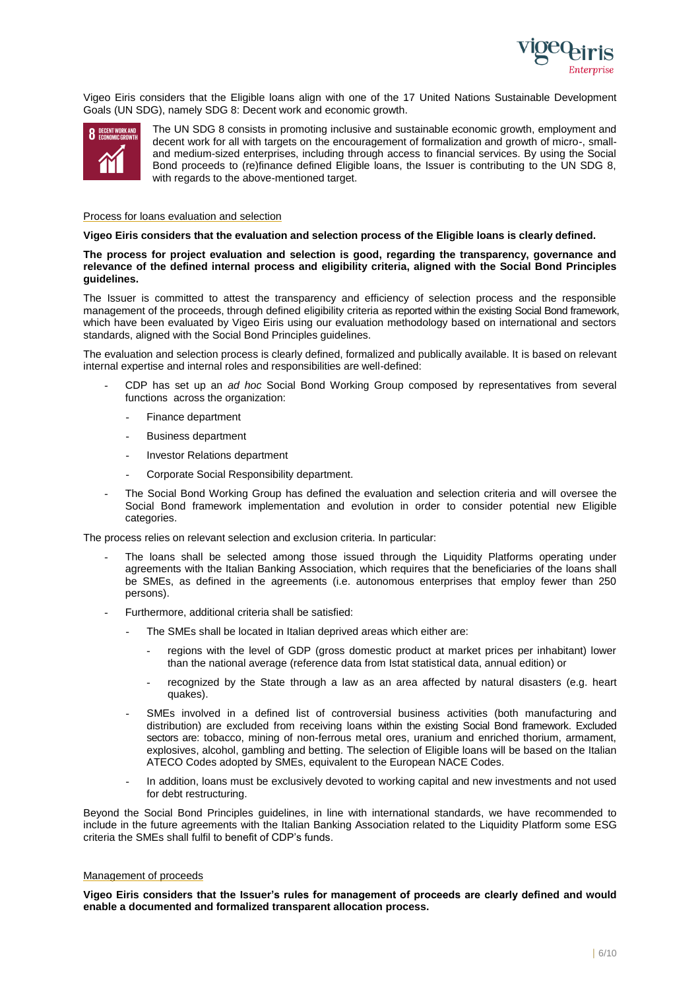

Vigeo Eiris considers that the Eligible loans align with one of the 17 United Nations Sustainable Development Goals (UN SDG), namely SDG 8: Decent work and economic growth.



The UN SDG 8 consists in promoting inclusive and sustainable economic growth, employment and decent work for all with targets on the encouragement of formalization and growth of micro-, smalland medium-sized enterprises, including through access to financial services. By using the Social Bond proceeds to (re)finance defined Eligible loans, the Issuer is contributing to the UN SDG 8, with regards to the above-mentioned target.

#### Process for loans evaluation and selection

#### **Vigeo Eiris considers that the evaluation and selection process of the Eligible loans is clearly defined.**

**The process for project evaluation and selection is good, regarding the transparency, governance and relevance of the defined internal process and eligibility criteria, aligned with the Social Bond Principles guidelines.**

The Issuer is committed to attest the transparency and efficiency of selection process and the responsible management of the proceeds, through defined eligibility criteria as reported within the existing Social Bond framework, which have been evaluated by Vigeo Eiris using our evaluation methodology based on international and sectors standards, aligned with the Social Bond Principles guidelines.

The evaluation and selection process is clearly defined, formalized and publically available. It is based on relevant internal expertise and internal roles and responsibilities are well-defined:

- CDP has set up an *ad hoc* Social Bond Working Group composed by representatives from several functions across the organization:
	- Finance department
	- Business department
	- Investor Relations department
	- Corporate Social Responsibility department.
- The Social Bond Working Group has defined the evaluation and selection criteria and will oversee the Social Bond framework implementation and evolution in order to consider potential new Eligible categories.

The process relies on relevant selection and exclusion criteria. In particular:

- The loans shall be selected among those issued through the Liquidity Platforms operating under agreements with the Italian Banking Association, which requires that the beneficiaries of the loans shall be SMEs, as defined in the agreements (i.e. autonomous enterprises that employ fewer than 250 persons).
- Furthermore, additional criteria shall be satisfied:
	- The SMEs shall be located in Italian deprived areas which either are:
		- regions with the level of GDP (gross domestic product at market prices per inhabitant) lower than the national average (reference data from Istat statistical data, annual edition) or
		- recognized by the State through a law as an area affected by natural disasters (e.g. heart quakes).
	- SMEs involved in a defined list of controversial business activities (both manufacturing and distribution) are excluded from receiving loans within the existing Social Bond framework. Excluded sectors are: tobacco, mining of non-ferrous metal ores, uranium and enriched thorium, armament, explosives, alcohol, gambling and betting. The selection of Eligible loans will be based on the Italian ATECO Codes adopted by SMEs, equivalent to the European NACE Codes.
	- In addition, loans must be exclusively devoted to working capital and new investments and not used for debt restructuring.

Beyond the Social Bond Principles guidelines, in line with international standards, we have recommended to include in the future agreements with the Italian Banking Association related to the Liquidity Platform some ESG criteria the SMEs shall fulfil to benefit of CDP's funds.

### Management of proceeds

**Vigeo Eiris considers that the Issuer's rules for management of proceeds are clearly defined and would enable a documented and formalized transparent allocation process.**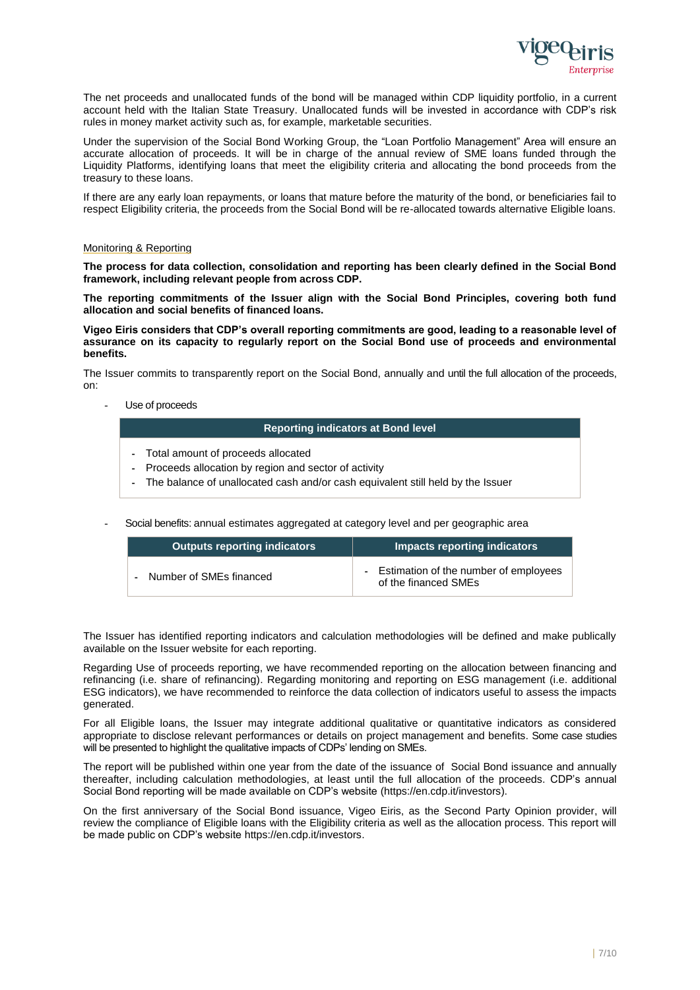

The net proceeds and unallocated funds of the bond will be managed within CDP liquidity portfolio, in a current account held with the Italian State Treasury. Unallocated funds will be invested in accordance with CDP's risk rules in money market activity such as, for example, marketable securities.

Under the supervision of the Social Bond Working Group, the "Loan Portfolio Management" Area will ensure an accurate allocation of proceeds. It will be in charge of the annual review of SME loans funded through the Liquidity Platforms, identifying loans that meet the eligibility criteria and allocating the bond proceeds from the treasury to these loans.

If there are any early loan repayments, or loans that mature before the maturity of the bond, or beneficiaries fail to respect Eligibility criteria, the proceeds from the Social Bond will be re-allocated towards alternative Eligible loans.

#### Monitoring & Reporting

**The process for data collection, consolidation and reporting has been clearly defined in the Social Bond framework, including relevant people from across CDP.**

**The reporting commitments of the Issuer align with the Social Bond Principles, covering both fund allocation and social benefits of financed loans.** 

**Vigeo Eiris considers that CDP's overall reporting commitments are good, leading to a reasonable level of assurance on its capacity to regularly report on the Social Bond use of proceeds and environmental benefits.**

The Issuer commits to transparently report on the Social Bond, annually and until the full allocation of the proceeds, on:

Use of proceeds

### **Reporting indicators at Bond level**

- Total amount of proceeds allocated
- Proceeds allocation by region and sector of activity
- The balance of unallocated cash and/or cash equivalent still held by the Issuer

- Social benefits: annual estimates aggregated at category level and per geographic area

| <b>Outputs reporting indicators</b> | <b>Impacts reporting indicators</b>                           |
|-------------------------------------|---------------------------------------------------------------|
| Number of SMEs financed             | Estimation of the number of employees<br>of the financed SMEs |

The Issuer has identified reporting indicators and calculation methodologies will be defined and make publically available on the Issuer website for each reporting.

Regarding Use of proceeds reporting, we have recommended reporting on the allocation between financing and refinancing (i.e. share of refinancing). Regarding monitoring and reporting on ESG management (i.e. additional ESG indicators), we have recommended to reinforce the data collection of indicators useful to assess the impacts generated.

For all Eligible loans, the Issuer may integrate additional qualitative or quantitative indicators as considered appropriate to disclose relevant performances or details on project management and benefits. Some case studies will be presented to highlight the qualitative impacts of CDPs' lending on SMEs.

The report will be published within one year from the date of the issuance of Social Bond issuance and annually thereafter, including calculation methodologies, at least until the full allocation of the proceeds. CDP's annual Social Bond reporting will be made available on CDP's website (https://en.cdp.it/investors).

On the first anniversary of the Social Bond issuance, Vigeo Eiris, as the Second Party Opinion provider, will review the compliance of Eligible loans with the Eligibility criteria as well as the allocation process. This report will be made public on CDP's website https://en.cdp.it/investors.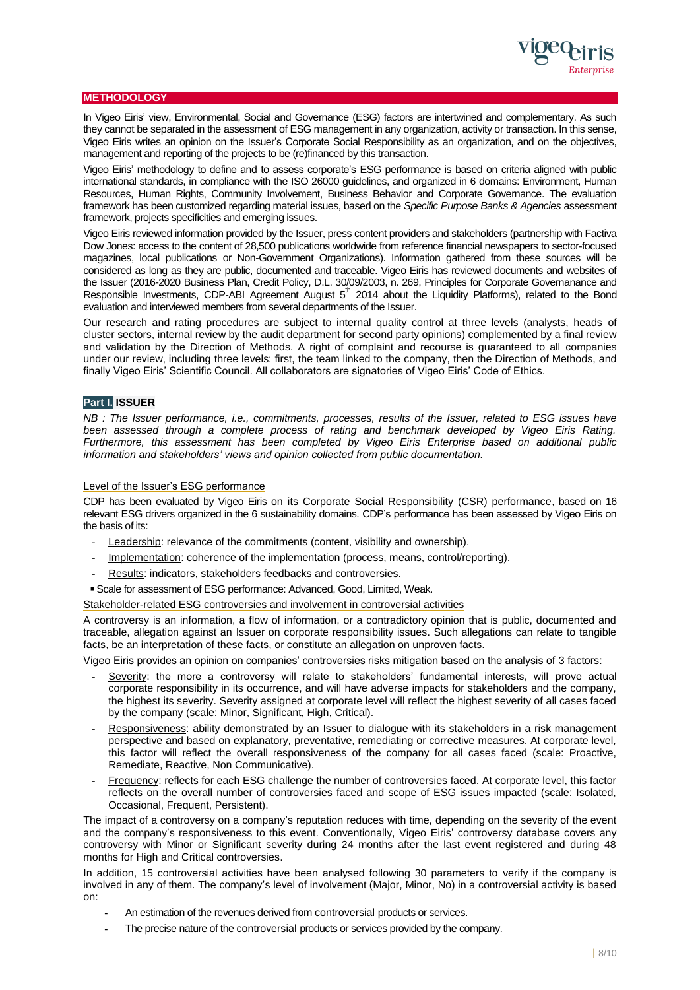

## **METHODOLOGY**

In Vigeo Eiris' view, Environmental, Social and Governance (ESG) factors are intertwined and complementary. As such they cannot be separated in the assessment of ESG management in any organization, activity or transaction. In this sense, Vigeo Eiris writes an opinion on the Issuer's Corporate Social Responsibility as an organization, and on the objectives, management and reporting of the projects to be (re)financed by this transaction.

Vigeo Eiris' methodology to define and to assess corporate's ESG performance is based on criteria aligned with public international standards, in compliance with the ISO 26000 guidelines, and organized in 6 domains: Environment, Human Resources, Human Rights, Community Involvement, Business Behavior and Corporate Governance. The evaluation framework has been customized regarding material issues, based on the *Specific Purpose Banks & Agencies* assessment framework, projects specificities and emerging issues.

Vigeo Eiris reviewed information provided by the Issuer, press content providers and stakeholders (partnership with Factiva Dow Jones: access to the content of 28,500 publications worldwide from reference financial newspapers to sector-focused magazines, local publications or Non-Government Organizations). Information gathered from these sources will be considered as long as they are public, documented and traceable. Vigeo Eiris has reviewed documents and websites of the Issuer (2016-2020 Business Plan, Credit Policy, D.L. 30/09/2003, n. 269, Principles for Corporate Governanance and Responsible Investments, CDP-ABI Agreement August  $5<sup>th</sup>$  2014 about the Liquidity Platforms), related to the Bond evaluation and interviewed members from several departments of the Issuer.

Our research and rating procedures are subject to internal quality control at three levels (analysts, heads of cluster sectors, internal review by the audit department for second party opinions) complemented by a final review and validation by the Direction of Methods. A right of complaint and recourse is guaranteed to all companies under our review, including three levels: first, the team linked to the company, then the Direction of Methods, and finally Vigeo Eiris' Scientific Council. All collaborators are signatories of Vigeo Eiris' Code of Ethics.

## **Part I. ISSUER**

*NB : The Issuer performance, i.e., commitments, processes, results of the Issuer, related to ESG issues have been assessed through a complete process of rating and benchmark developed by Vigeo Eiris Rating. Furthermore, this assessment has been completed by Vigeo Eiris Enterprise based on additional public information and stakeholders' views and opinion collected from public documentation.*

## Level of the Issuer's ESG performance

CDP has been evaluated by Vigeo Eiris on its Corporate Social Responsibility (CSR) performance, based on 16 relevant ESG drivers organized in the 6 sustainability domains. CDP's performance has been assessed by Vigeo Eiris on the basis of its:

- Leadership: relevance of the commitments (content, visibility and ownership).
- Implementation: coherence of the implementation (process, means, control/reporting).
- Results: indicators, stakeholders feedbacks and controversies.
- Scale for assessment of ESG performance: Advanced, Good, Limited, Weak.

Stakeholder-related ESG controversies and involvement in controversial activities

A controversy is an information, a flow of information, or a contradictory opinion that is public, documented and traceable, allegation against an Issuer on corporate responsibility issues. Such allegations can relate to tangible facts, be an interpretation of these facts, or constitute an allegation on unproven facts.

Vigeo Eiris provides an opinion on companies' controversies risks mitigation based on the analysis of 3 factors:

- Severity: the more a controversy will relate to stakeholders' fundamental interests, will prove actual corporate responsibility in its occurrence, and will have adverse impacts for stakeholders and the company, the highest its severity. Severity assigned at corporate level will reflect the highest severity of all cases faced by the company (scale: Minor, Significant, High, Critical).
- Responsiveness: ability demonstrated by an Issuer to dialogue with its stakeholders in a risk management perspective and based on explanatory, preventative, remediating or corrective measures. At corporate level, this factor will reflect the overall responsiveness of the company for all cases faced (scale: Proactive, Remediate, Reactive, Non Communicative).
- Frequency: reflects for each ESG challenge the number of controversies faced. At corporate level, this factor reflects on the overall number of controversies faced and scope of ESG issues impacted (scale: Isolated, Occasional, Frequent, Persistent).

The impact of a controversy on a company's reputation reduces with time, depending on the severity of the event and the company's responsiveness to this event. Conventionally, Vigeo Eiris' controversy database covers any controversy with Minor or Significant severity during 24 months after the last event registered and during 48 months for High and Critical controversies.

In addition, 15 controversial activities have been analysed following 30 parameters to verify if the company is involved in any of them. The company's level of involvement (Major, Minor, No) in a controversial activity is based on:

- An estimation of the revenues derived from controversial products or services.
- The precise nature of the controversial products or services provided by the company.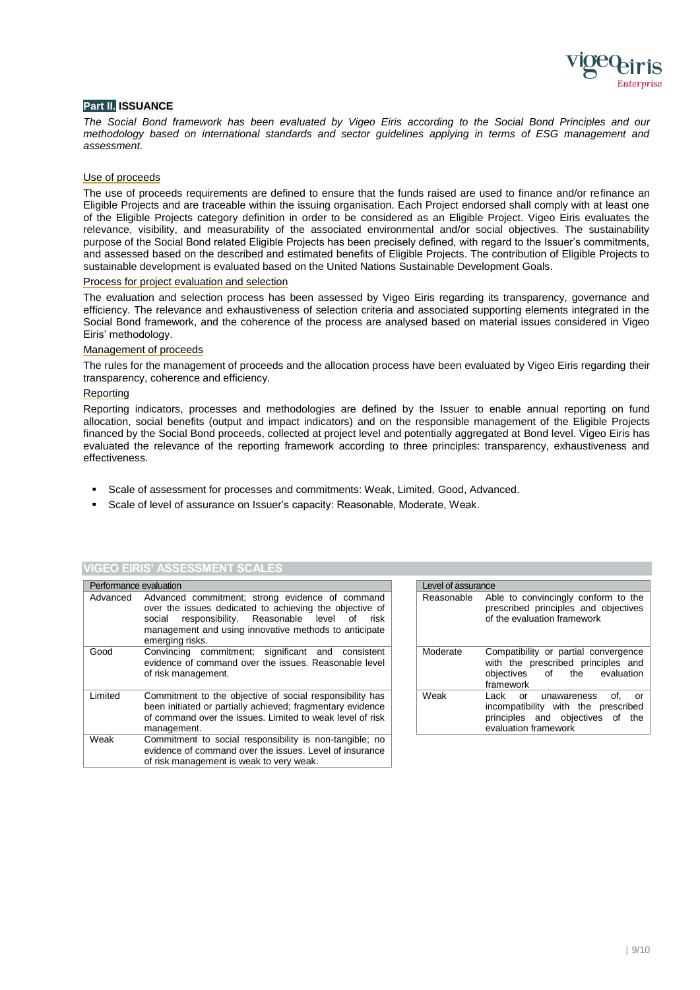

## **Part II. ISSUANCE**

*The Social Bond framework has been evaluated by Vigeo Eiris according to the Social Bond Principles and our methodology based on international standards and sector guidelines applying in terms of ESG management and assessment.*

### Use of proceeds

The use of proceeds requirements are defined to ensure that the funds raised are used to finance and/or refinance an Eligible Projects and are traceable within the issuing organisation. Each Project endorsed shall comply with at least one of the Eligible Projects category definition in order to be considered as an Eligible Project. Vigeo Eiris evaluates the relevance, visibility, and measurability of the associated environmental and/or social objectives. The sustainability purpose of the Social Bond related Eligible Projects has been precisely defined, with regard to the Issuer's commitments, and assessed based on the described and estimated benefits of Eligible Projects. The contribution of Eligible Projects to sustainable development is evaluated based on the United Nations Sustainable Development Goals.

#### Process for project evaluation and selection

The evaluation and selection process has been assessed by Vigeo Eiris regarding its transparency, governance and efficiency. The relevance and exhaustiveness of selection criteria and associated supporting elements integrated in the Social Bond framework, and the coherence of the process are analysed based on material issues considered in Vigeo Eiris' methodology.

#### Management of proceeds

The rules for the management of proceeds and the allocation process have been evaluated by Vigeo Eiris regarding their transparency, coherence and efficiency.

#### Reporting

Reporting indicators, processes and methodologies are defined by the Issuer to enable annual reporting on fund allocation, social benefits (output and impact indicators) and on the responsible management of the Eligible Projects financed by the Social Bond proceeds, collected at project level and potentially aggregated at Bond level. Vigeo Eiris has evaluated the relevance of the reporting framework according to three principles: transparency, exhaustiveness and effectiveness.

- Scale of assessment for processes and commitments: Weak, Limited, Good, Advanced.
- Scale of level of assurance on Issuer's capacity: Reasonable, Moderate, Weak.

#### **VIGEO EIRIS' ASSESSMENT SCALES**

|         | Performance evaluation                                                                                                                                                                                                                                      |  |            | Level of assurance     |  |
|---------|-------------------------------------------------------------------------------------------------------------------------------------------------------------------------------------------------------------------------------------------------------------|--|------------|------------------------|--|
|         | Advanced Advanced commitment; strong evidence of command<br>over the issues dedicated to achieving the objective of<br>responsibility. Reasonable level<br>social<br>risk<br>of<br>management and using innovative methods to anticipate<br>emerging risks. |  | Reasonable | Ał<br>pr<br>οf         |  |
| Good    | Convincing commitment; significant and consistent<br>evidence of command over the issues. Reasonable level<br>of risk management.                                                                                                                           |  | Moderate   | С<br>wi<br>ob<br>fra   |  |
| Limited | Commitment to the objective of social responsibility has<br>been initiated or partially achieved; fragmentary evidence<br>of command over the issues. Limited to weak level of risk<br>management.                                                          |  | Weak       | La<br>ino<br>pri<br>ev |  |
| Weak    | Commitment to social responsibility is non-tangible; no<br>evidence of command over the issues. Level of insurance<br>of risk management is weak to very weak.                                                                                              |  |            |                        |  |

|            | Level of assurance                                                                                                                    |  |  |
|------------|---------------------------------------------------------------------------------------------------------------------------------------|--|--|
| Reasonable | Able to convincingly conform to the<br>prescribed principles and objectives<br>of the evaluation framework                            |  |  |
| Moderate   | Compatibility or partial convergence<br>with the prescribed principles and<br>objectives of the evaluation<br>framework               |  |  |
| Weak       | Lack or unawareness<br>of.<br>- or<br>incompatibility with the prescribed<br>principles and objectives of the<br>evaluation framework |  |  |